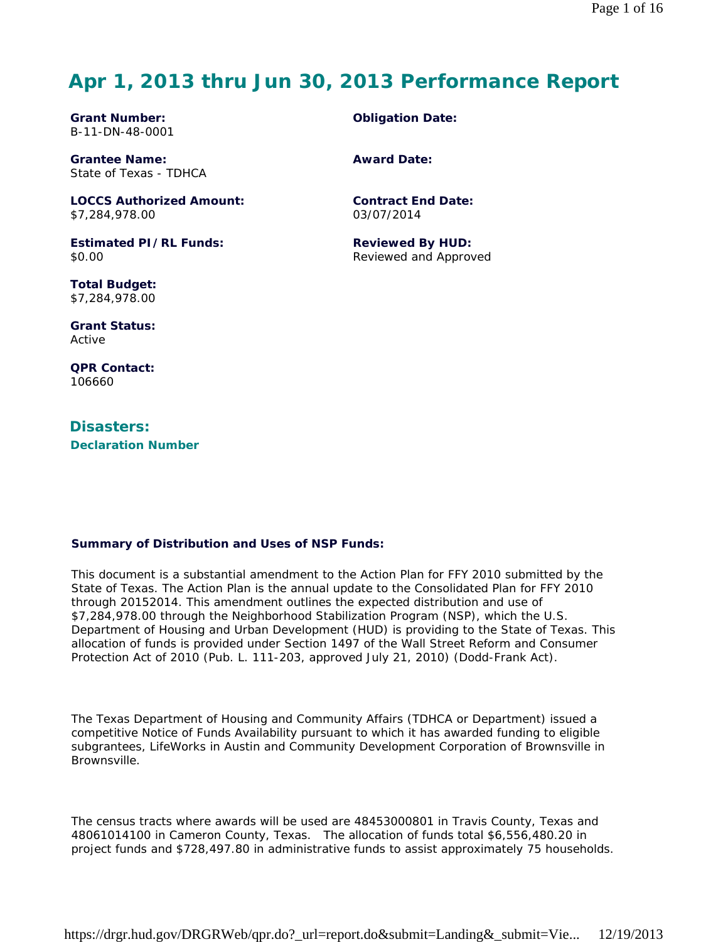# **Apr 1, 2013 thru Jun 30, 2013 Performance Report**

**Grant Number:** B-11-DN-48-0001

**Grantee Name:** State of Texas - TDHCA

**LOCCS Authorized Amount:** \$7,284,978.00

**Estimated PI/RL Funds:** \$0.00

**Total Budget:** \$7,284,978.00

**Grant Status:** Active

**QPR Contact:** 106660

**Disasters: Declaration Number** **Obligation Date:**

**Award Date:**

**Contract End Date:** 03/07/2014

**Reviewed By HUD:** Reviewed and Approved

#### **Summary of Distribution and Uses of NSP Funds:**

This document is a substantial amendment to the Action Plan for FFY 2010 submitted by the State of Texas. The Action Plan is the annual update to the Consolidated Plan for FFY 2010 through 20152014. This amendment outlines the expected distribution and use of \$7,284,978.00 through the Neighborhood Stabilization Program (NSP), which the U.S. Department of Housing and Urban Development (HUD) is providing to the State of Texas. This allocation of funds is provided under Section 1497 of the Wall Street Reform and Consumer Protection Act of 2010 (Pub. L. 111-203, approved July 21, 2010) (Dodd-Frank Act).

The Texas Department of Housing and Community Affairs (TDHCA or Department) issued a competitive Notice of Funds Availability pursuant to which it has awarded funding to eligible subgrantees, LifeWorks in Austin and Community Development Corporation of Brownsville in Brownsville.

The census tracts where awards will be used are 48453000801 in Travis County, Texas and 48061014100 in Cameron County, Texas. The allocation of funds total \$6,556,480.20 in project funds and \$728,497.80 in administrative funds to assist approximately 75 households.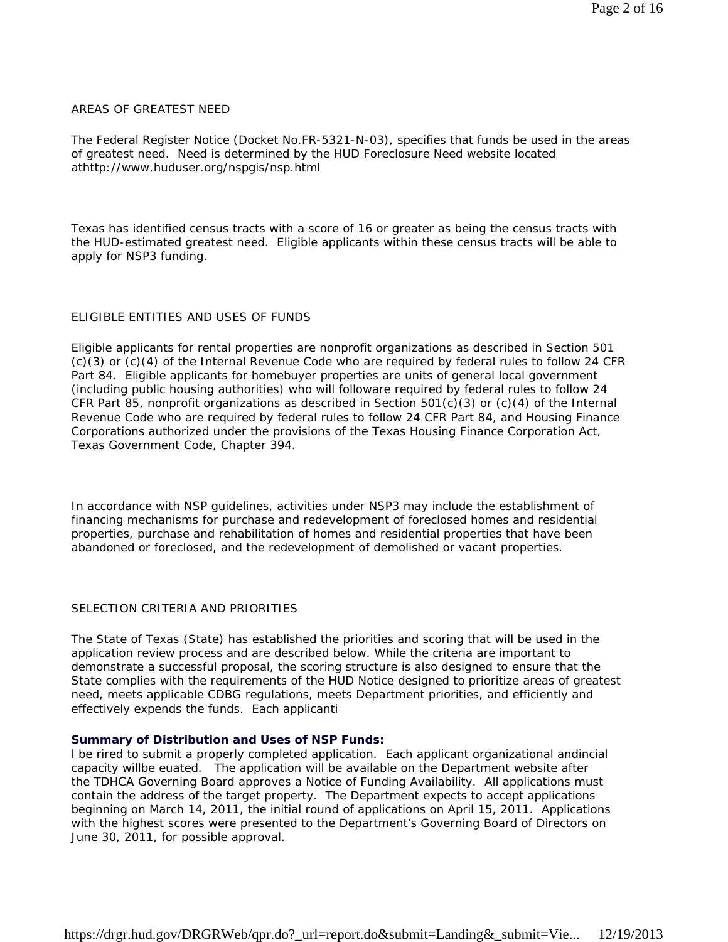#### AREAS OF GREATEST NEED

The Federal Register Notice (Docket No.FR-5321-N-03), specifies that funds be used in the areas of greatest need. Need is determined by the HUD Foreclosure Need website located athttp://www.huduser.org/nspgis/nsp.html

Texas has identified census tracts with a score of 16 or greater as being the census tracts with the HUD-estimated greatest need. Eligible applicants within these census tracts will be able to apply for NSP3 funding.

#### ELIGIBLE ENTITIES AND USES OF FUNDS

Eligible applicants for rental properties are nonprofit organizations as described in Section 501 (c)(3) or (c)(4) of the Internal Revenue Code who are required by federal rules to follow 24 CFR Part 84. Eligible applicants for homebuyer properties are units of general local government (including public housing authorities) who will followare required by federal rules to follow 24 CFR Part 85, nonprofit organizations as described in Section 501(c)(3) or (c)(4) of the Internal Revenue Code who are required by federal rules to follow 24 CFR Part 84, and Housing Finance Corporations authorized under the provisions of the Texas Housing Finance Corporation Act, Texas Government Code, Chapter 394.

In accordance with NSP guidelines, activities under NSP3 may include the establishment of financing mechanisms for purchase and redevelopment of foreclosed homes and residential properties, purchase and rehabilitation of homes and residential properties that have been abandoned or foreclosed, and the redevelopment of demolished or vacant properties.

#### SELECTION CRITERIA AND PRIORITIES

The State of Texas (State) has established the priorities and scoring that will be used in the application review process and are described below. While the criteria are important to demonstrate a successful proposal, the scoring structure is also designed to ensure that the State complies with the requirements of the HUD Notice designed to prioritize areas of greatest need, meets applicable CDBG regulations, meets Department priorities, and efficiently and effectively expends the funds. Each applicanti

#### **Summary of Distribution and Uses of NSP Funds:**

l be rired to submit a properly completed application. Each applicant organizational andincial capacity willbe euated. The application will be available on the Department website after the TDHCA Governing Board approves a Notice of Funding Availability. All applications must contain the address of the target property. The Department expects to accept applications beginning on March 14, 2011, the initial round of applications on April 15, 2011. Applications with the highest scores were presented to the Department's Governing Board of Directors on June 30, 2011, for possible approval.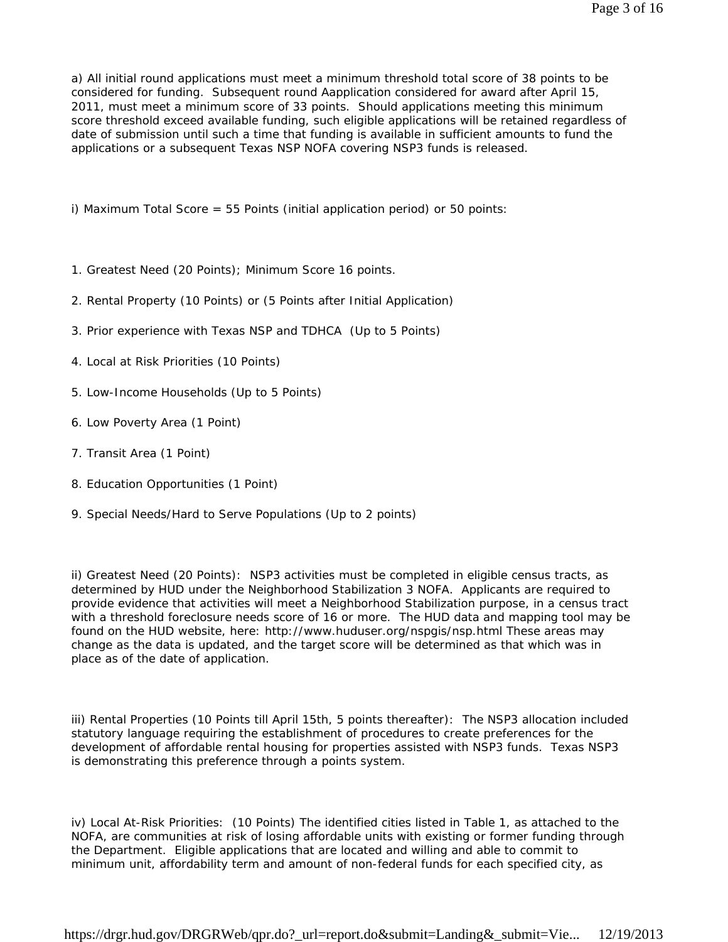a) All initial round applications must meet a minimum threshold total score of 38 points to be considered for funding. Subsequent round Aapplication considered for award after April 15, 2011, must meet a minimum score of 33 points. Should applications meeting this minimum score threshold exceed available funding, such eligible applications will be retained regardless of date of submission until such a time that funding is available in sufficient amounts to fund the applications or a subsequent Texas NSP NOFA covering NSP3 funds is released.

i) Maximum Total Score = 55 Points (initial application period) or 50 points:

- 1. Greatest Need (20 Points); Minimum Score 16 points.
- 2. Rental Property (10 Points) or (5 Points after Initial Application)
- 3. Prior experience with Texas NSP and TDHCA (Up to 5 Points)
- 4. Local at Risk Priorities (10 Points)
- 5. Low-Income Households (Up to 5 Points)
- 6. Low Poverty Area (1 Point)
- 7. Transit Area (1 Point)
- 8. Education Opportunities (1 Point)
- 9. Special Needs/Hard to Serve Populations (Up to 2 points)

ii) Greatest Need (20 Points): NSP3 activities must be completed in eligible census tracts, as determined by HUD under the Neighborhood Stabilization 3 NOFA. Applicants are required to provide evidence that activities will meet a Neighborhood Stabilization purpose, in a census tract with a threshold foreclosure needs score of 16 or more. The HUD data and mapping tool may be found on the HUD website, here: http://www.huduser.org/nspgis/nsp.html These areas may change as the data is updated, and the target score will be determined as that which was in place as of the date of application.

iii) Rental Properties (10 Points till April 15th, 5 points thereafter): The NSP3 allocation included statutory language requiring the establishment of procedures to create preferences for the development of affordable rental housing for properties assisted with NSP3 funds. Texas NSP3 is demonstrating this preference through a points system.

iv) Local At-Risk Priorities: (10 Points) The identified cities listed in Table 1, as attached to the NOFA, are communities at risk of losing affordable units with existing or former funding through the Department. Eligible applications that are located and willing and able to commit to minimum unit, affordability term and amount of non-federal funds for each specified city, as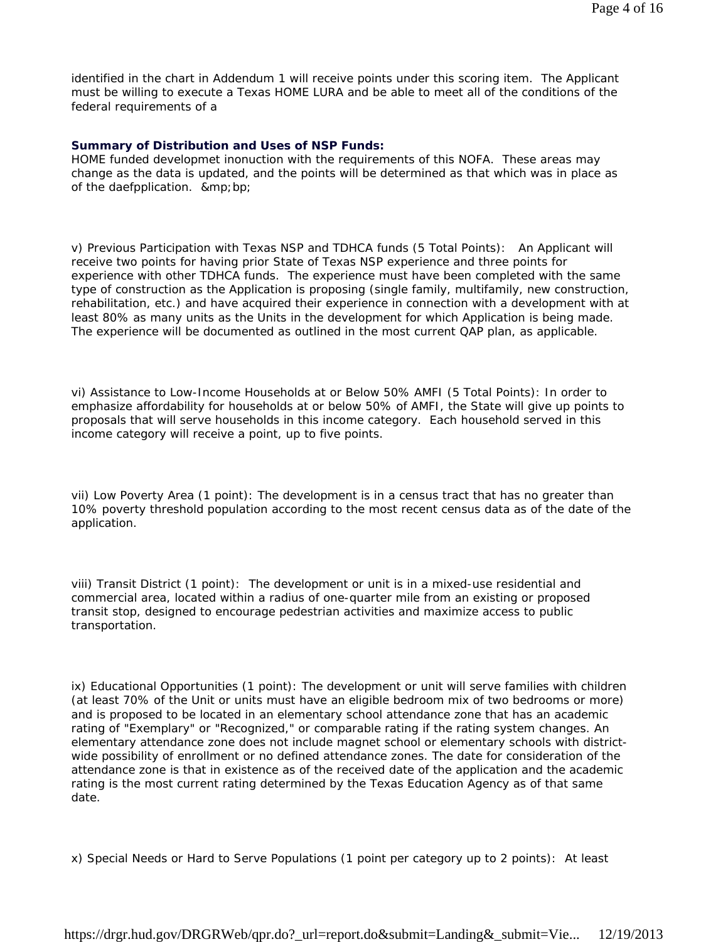identified in the chart in Addendum 1 will receive points under this scoring item. The Applicant must be willing to execute a Texas HOME LURA and be able to meet all of the conditions of the federal requirements of a

#### **Summary of Distribution and Uses of NSP Funds:**

HOME funded developmet inonuction with the requirements of this NOFA. These areas may change as the data is updated, and the points will be determined as that which was in place as of the daefpplication. ∓ bp;

v) Previous Participation with Texas NSP and TDHCA funds (5 Total Points): An Applicant will receive two points for having prior State of Texas NSP experience and three points for experience with other TDHCA funds. The experience must have been completed with the same type of construction as the Application is proposing (single family, multifamily, new construction, rehabilitation, etc.) and have acquired their experience in connection with a development with at least 80% as many units as the Units in the development for which Application is being made. The experience will be documented as outlined in the most current QAP plan, as applicable.

vi) Assistance to Low-Income Households at or Below 50% AMFI (5 Total Points): In order to emphasize affordability for households at or below 50% of AMFI, the State will give up points to proposals that will serve households in this income category. Each household served in this income category will receive a point, up to five points.

vii) Low Poverty Area (1 point): The development is in a census tract that has no greater than 10% poverty threshold population according to the most recent census data as of the date of the application.

viii) Transit District (1 point): The development or unit is in a mixed-use residential and commercial area, located within a radius of one-quarter mile from an existing or proposed transit stop, designed to encourage pedestrian activities and maximize access to public transportation.

ix) Educational Opportunities (1 point): The development or unit will serve families with children (at least 70% of the Unit or units must have an eligible bedroom mix of two bedrooms or more) and is proposed to be located in an elementary school attendance zone that has an academic rating of "Exemplary" or "Recognized," or comparable rating if the rating system changes. An elementary attendance zone does not include magnet school or elementary schools with districtwide possibility of enrollment or no defined attendance zones. The date for consideration of the attendance zone is that in existence as of the received date of the application and the academic rating is the most current rating determined by the Texas Education Agency as of that same date.

x) Special Needs or Hard to Serve Populations (1 point per category up to 2 points): At least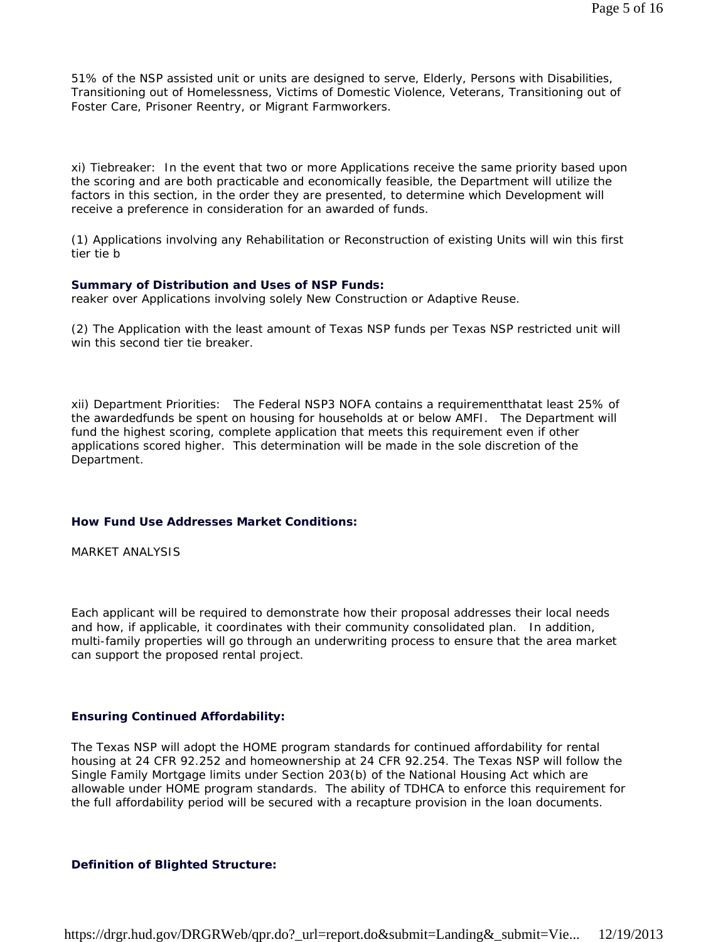51% of the NSP assisted unit or units are designed to serve, Elderly, Persons with Disabilities, Transitioning out of Homelessness, Victims of Domestic Violence, Veterans, Transitioning out of Foster Care, Prisoner Reentry, or Migrant Farmworkers.

xi) Tiebreaker: In the event that two or more Applications receive the same priority based upon the scoring and are both practicable and economically feasible, the Department will utilize the factors in this section, in the order they are presented, to determine which Development will receive a preference in consideration for an awarded of funds.

(1) Applications involving any Rehabilitation or Reconstruction of existing Units will win this first tier tie b

#### **Summary of Distribution and Uses of NSP Funds:**

reaker over Applications involving solely New Construction or Adaptive Reuse.

(2) The Application with the least amount of Texas NSP funds per Texas NSP restricted unit will win this second tier tie breaker

xii) Department Priorities: The Federal NSP3 NOFA contains a requirementthatat least 25% of the awardedfunds be spent on housing for households at or below AMFI. The Department will fund the highest scoring, complete application that meets this requirement even if other applications scored higher. This determination will be made in the sole discretion of the Department.

#### **How Fund Use Addresses Market Conditions:**

MARKET ANALYSIS

Each applicant will be required to demonstrate how their proposal addresses their local needs and how, if applicable, it coordinates with their community consolidated plan. In addition, multi-family properties will go through an underwriting process to ensure that the area market can support the proposed rental project.

#### **Ensuring Continued Affordability:**

The Texas NSP will adopt the HOME program standards for continued affordability for rental housing at 24 CFR 92.252 and homeownership at 24 CFR 92.254. The Texas NSP will follow the Single Family Mortgage limits under Section 203(b) of the National Housing Act which are allowable under HOME program standards. The ability of TDHCA to enforce this requirement for the full affordability period will be secured with a recapture provision in the loan documents.

#### **Definition of Blighted Structure:**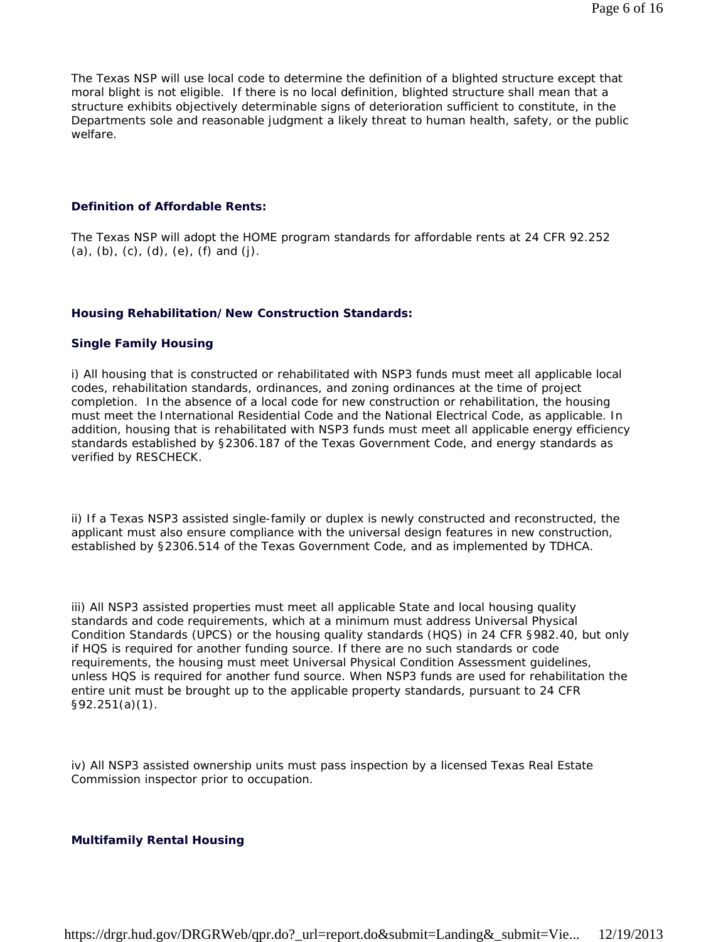The Texas NSP will use local code to determine the definition of a blighted structure except that moral blight is not eligible. If there is no local definition, blighted structure shall mean that a structure exhibits objectively determinable signs of deterioration sufficient to constitute, in the Departments sole and reasonable judgment a likely threat to human health, safety, or the public welfare.

#### **Definition of Affordable Rents:**

The Texas NSP will adopt the HOME program standards for affordable rents at 24 CFR 92.252  $(a)$ ,  $(b)$ ,  $(c)$ ,  $(d)$ ,  $(e)$ ,  $(f)$  and  $(j)$ .

#### **Housing Rehabilitation/New Construction Standards:**

#### **Single Family Housing**

i) All housing that is constructed or rehabilitated with NSP3 funds must meet all applicable local codes, rehabilitation standards, ordinances, and zoning ordinances at the time of project completion. In the absence of a local code for new construction or rehabilitation, the housing must meet the International Residential Code and the National Electrical Code, as applicable. In addition, housing that is rehabilitated with NSP3 funds must meet all applicable energy efficiency standards established by §2306.187 of the Texas Government Code, and energy standards as verified by RESCHECK.

ii) If a Texas NSP3 assisted single-family or duplex is newly constructed and reconstructed, the applicant must also ensure compliance with the universal design features in new construction, established by §2306.514 of the Texas Government Code, and as implemented by TDHCA.

iii) All NSP3 assisted properties must meet all applicable State and local housing quality standards and code requirements, which at a minimum must address Universal Physical Condition Standards (UPCS) or the housing quality standards (HQS) in 24 CFR §982.40, but only if HQS is required for another funding source. If there are no such standards or code requirements, the housing must meet Universal Physical Condition Assessment guidelines, unless HQS is required for another fund source. When NSP3 funds are used for rehabilitation the entire unit must be brought up to the applicable property standards, pursuant to 24 CFR §92.251(a)(1).

iv) All NSP3 assisted ownership units must pass inspection by a licensed Texas Real Estate Commission inspector prior to occupation.

#### **Multifamily Rental Housing**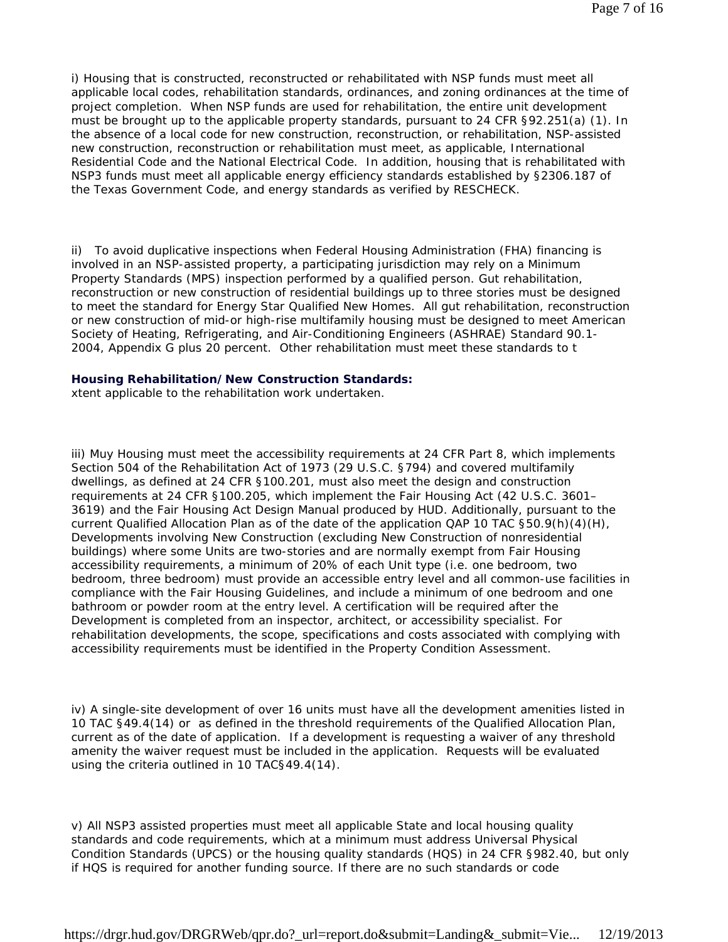i) Housing that is constructed, reconstructed or rehabilitated with NSP funds must meet all applicable local codes, rehabilitation standards, ordinances, and zoning ordinances at the time of project completion. When NSP funds are used for rehabilitation, the entire unit development must be brought up to the applicable property standards, pursuant to 24 CFR §92.251(a) (1). In the absence of a local code for new construction, reconstruction, or rehabilitation, NSP-assisted new construction, reconstruction or rehabilitation must meet, as applicable, International Residential Code and the National Electrical Code. In addition, housing that is rehabilitated with NSP3 funds must meet all applicable energy efficiency standards established by §2306.187 of the Texas Government Code, and energy standards as verified by RESCHECK.

ii) To avoid duplicative inspections when Federal Housing Administration (FHA) financing is involved in an NSP-assisted property, a participating jurisdiction may rely on a Minimum Property Standards (MPS) inspection performed by a qualified person. Gut rehabilitation, reconstruction or new construction of residential buildings up to three stories must be designed to meet the standard for Energy Star Qualified New Homes. All gut rehabilitation, reconstruction or new construction of mid-or high-rise multifamily housing must be designed to meet American Society of Heating, Refrigerating, and Air-Conditioning Engineers (ASHRAE) Standard 90.1- 2004, Appendix G plus 20 percent. Other rehabilitation must meet these standards to t

#### **Housing Rehabilitation/New Construction Standards:**

xtent applicable to the rehabilitation work undertaken.

iii) Muy Housing must meet the accessibility requirements at 24 CFR Part 8, which implements Section 504 of the Rehabilitation Act of 1973 (29 U.S.C. §794) and covered multifamily dwellings, as defined at 24 CFR §100.201, must also meet the design and construction requirements at 24 CFR §100.205, which implement the Fair Housing Act (42 U.S.C. 3601– 3619) and the Fair Housing Act Design Manual produced by HUD. Additionally, pursuant to the current Qualified Allocation Plan as of the date of the application QAP 10 TAC §50.9(h)(4)(H), Developments involving New Construction (excluding New Construction of nonresidential buildings) where some Units are two-stories and are normally exempt from Fair Housing accessibility requirements, a minimum of 20% of each Unit type (i.e. one bedroom, two bedroom, three bedroom) must provide an accessible entry level and all common-use facilities in compliance with the Fair Housing Guidelines, and include a minimum of one bedroom and one bathroom or powder room at the entry level. A certification will be required after the Development is completed from an inspector, architect, or accessibility specialist. For rehabilitation developments, the scope, specifications and costs associated with complying with accessibility requirements must be identified in the Property Condition Assessment.

iv) A single-site development of over 16 units must have all the development amenities listed in 10 TAC §49.4(14) or as defined in the threshold requirements of the Qualified Allocation Plan, current as of the date of application. If a development is requesting a waiver of any threshold amenity the waiver request must be included in the application. Requests will be evaluated using the criteria outlined in 10 TAC§49.4(14).

v) All NSP3 assisted properties must meet all applicable State and local housing quality standards and code requirements, which at a minimum must address Universal Physical Condition Standards (UPCS) or the housing quality standards (HQS) in 24 CFR §982.40, but only if HQS is required for another funding source. If there are no such standards or code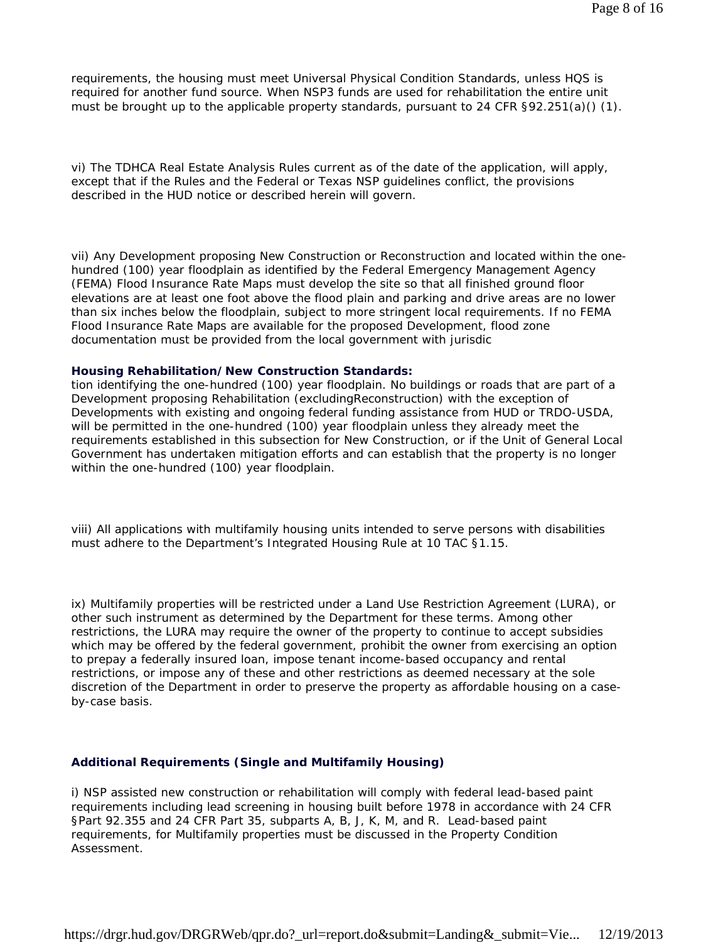requirements, the housing must meet Universal Physical Condition Standards, unless HQS is required for another fund source. When NSP3 funds are used for rehabilitation the entire unit must be brought up to the applicable property standards, pursuant to 24 CFR  $\S92.251(a)$  (1).

vi) The TDHCA Real Estate Analysis Rules current as of the date of the application, will apply, except that if the Rules and the Federal or Texas NSP guidelines conflict, the provisions described in the HUD notice or described herein will govern.

vii) Any Development proposing New Construction or Reconstruction and located within the onehundred (100) year floodplain as identified by the Federal Emergency Management Agency (FEMA) Flood Insurance Rate Maps must develop the site so that all finished ground floor elevations are at least one foot above the flood plain and parking and drive areas are no lower than six inches below the floodplain, subject to more stringent local requirements. If no FEMA Flood Insurance Rate Maps are available for the proposed Development, flood zone documentation must be provided from the local government with jurisdic

#### **Housing Rehabilitation/New Construction Standards:**

tion identifying the one-hundred (100) year floodplain. No buildings or roads that are part of a Development proposing Rehabilitation (excludingReconstruction) with the exception of Developments with existing and ongoing federal funding assistance from HUD or TRDO-USDA, will be permitted in the one-hundred (100) year floodplain unless they already meet the requirements established in this subsection for New Construction, or if the Unit of General Local Government has undertaken mitigation efforts and can establish that the property is no longer within the one-hundred (100) year floodplain.

viii) All applications with multifamily housing units intended to serve persons with disabilities must adhere to the Department's Integrated Housing Rule at 10 TAC §1.15.

ix) Multifamily properties will be restricted under a Land Use Restriction Agreement (LURA), or other such instrument as determined by the Department for these terms. Among other restrictions, the LURA may require the owner of the property to continue to accept subsidies which may be offered by the federal government, prohibit the owner from exercising an option to prepay a federally insured loan, impose tenant income-based occupancy and rental restrictions, or impose any of these and other restrictions as deemed necessary at the sole discretion of the Department in order to preserve the property as affordable housing on a caseby-case basis.

#### **Additional Requirements (Single and Multifamily Housing)**

i) NSP assisted new construction or rehabilitation will comply with federal lead-based paint requirements including lead screening in housing built before 1978 in accordance with 24 CFR §Part 92.355 and 24 CFR Part 35, subparts A, B, J, K, M, and R. Lead-based paint requirements, for Multifamily properties must be discussed in the Property Condition Assessment.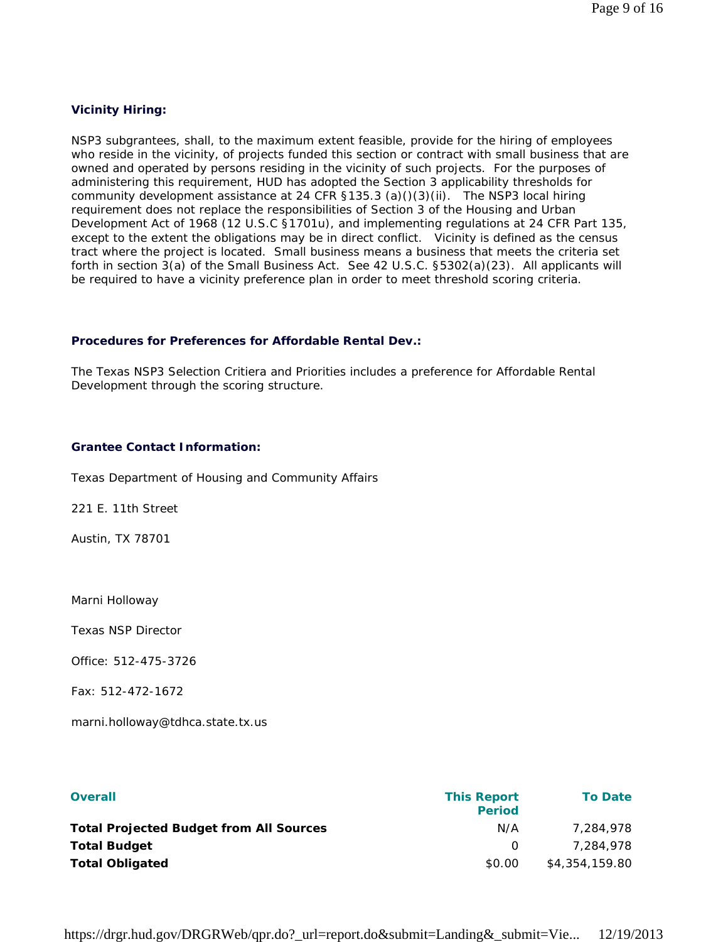#### **Vicinity Hiring:**

NSP3 subgrantees, shall, to the maximum extent feasible, provide for the hiring of employees who reside in the vicinity, of projects funded this section or contract with small business that are owned and operated by persons residing in the vicinity of such projects. For the purposes of administering this requirement, HUD has adopted the Section 3 applicability thresholds for community development assistance at 24 CFR §135.3 (a)()(3)(ii). The NSP3 local hiring requirement does not replace the responsibilities of Section 3 of the Housing and Urban Development Act of 1968 (12 U.S.C §1701u), and implementing regulations at 24 CFR Part 135, except to the extent the obligations may be in direct conflict. Vicinity is defined as the census tract where the project is located. Small business means a business that meets the criteria set forth in section 3(a) of the Small Business Act. See 42 U.S.C. §5302(a)(23). All applicants will be required to have a vicinity preference plan in order to meet threshold scoring criteria.

#### **Procedures for Preferences for Affordable Rental Dev.:**

The Texas NSP3 Selection Critiera and Priorities includes a preference for Affordable Rental Development through the scoring structure.

#### **Grantee Contact Information:**

Texas Department of Housing and Community Affairs

221 E. 11th Street

Austin, TX 78701

Marni Holloway

Texas NSP Director

Office: 512-475-3726

Fax: 512-472-1672

marni.holloway@tdhca.state.tx.us

| <b>Overall</b>                                 | <b>This Report</b><br><b>Period</b> | <b>To Date</b> |
|------------------------------------------------|-------------------------------------|----------------|
| <b>Total Projected Budget from All Sources</b> | N/A                                 | 7.284.978      |
| <b>Total Budget</b>                            | $\Omega$                            | 7.284.978      |
| <b>Total Obligated</b>                         | \$0.00                              | \$4,354,159.80 |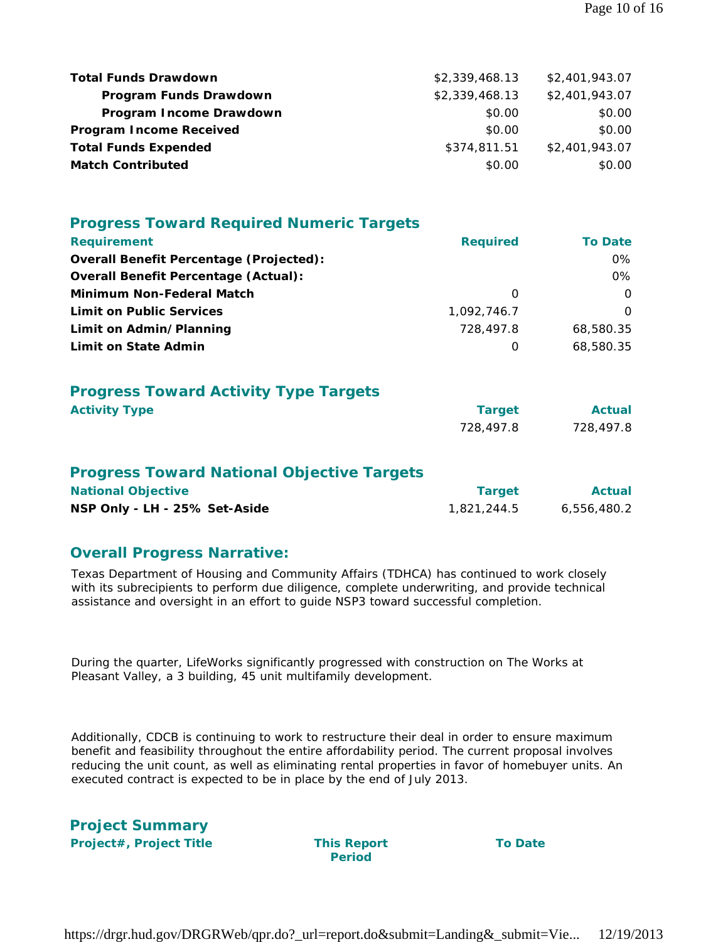| <b>Total Funds Drawdown</b>    | \$2,339,468.13 | \$2,401,943.07 |
|--------------------------------|----------------|----------------|
| Program Funds Drawdown         | \$2,339,468.13 | \$2,401,943.07 |
| Program Income Drawdown        | \$0.00         | \$0.00         |
| <b>Program Income Received</b> | \$0.00         | \$0.00         |
| <b>Total Funds Expended</b>    | \$374,811.51   | \$2,401,943.07 |
| <b>Match Contributed</b>       | \$0.00         | \$0.00         |

| <b>Progress Toward Required Numeric Targets</b>   |                 |                |  |  |  |
|---------------------------------------------------|-----------------|----------------|--|--|--|
| <b>Requirement</b>                                | <b>Required</b> | <b>To Date</b> |  |  |  |
| <b>Overall Benefit Percentage (Projected):</b>    |                 | 0%             |  |  |  |
| <b>Overall Benefit Percentage (Actual):</b>       |                 | $0\%$          |  |  |  |
| <b>Minimum Non-Federal Match</b>                  | $\Omega$        | $\Omega$       |  |  |  |
| <b>Limit on Public Services</b>                   | 1,092,746.7     | $\Omega$       |  |  |  |
| Limit on Admin/Planning                           | 728,497.8       | 68,580.35      |  |  |  |
| <b>Limit on State Admin</b>                       | 0               | 68,580.35      |  |  |  |
| <b>Progress Toward Activity Type Targets</b>      |                 |                |  |  |  |
| <b>Activity Type</b>                              | <b>Target</b>   | <b>Actual</b>  |  |  |  |
|                                                   | 728,497.8       | 728,497.8      |  |  |  |
| <b>Progress Toward National Objective Targets</b> |                 |                |  |  |  |
| <b>National Objective</b>                         | <b>Target</b>   | <b>Actual</b>  |  |  |  |
| NSP Only - LH - 25% Set-Aside                     | 1,821,244.5     | 6,556,480.2    |  |  |  |

### **Overall Progress Narrative:**

Texas Department of Housing and Community Affairs (TDHCA) has continued to work closely with its subrecipients to perform due diligence, complete underwriting, and provide technical assistance and oversight in an effort to guide NSP3 toward successful completion.

During the quarter, LifeWorks significantly progressed with construction on The Works at Pleasant Valley, a 3 building, 45 unit multifamily development.

Additionally, CDCB is continuing to work to restructure their deal in order to ensure maximum benefit and feasibility throughout the entire affordability period. The current proposal involves reducing the unit count, as well as eliminating rental properties in favor of homebuyer units. An executed contract is expected to be in place by the end of July 2013.

| <b>Project Summary</b>         |
|--------------------------------|
| <b>Project#, Project Title</b> |

**This Report Period** 

**To Date**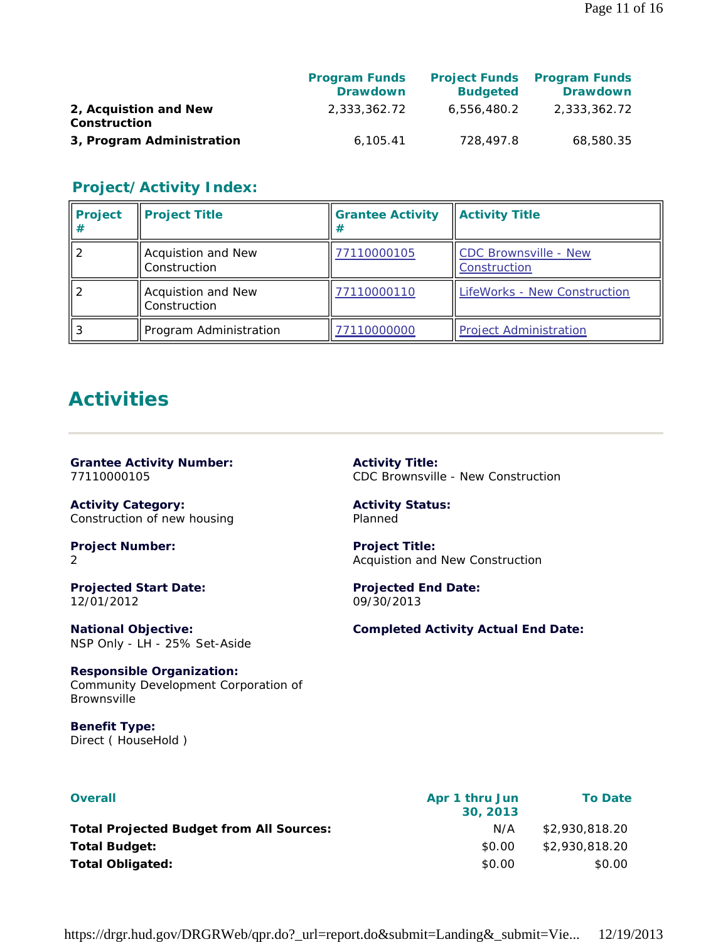|                                       | <b>Program Funds</b><br><b>Drawdown</b> | <b>Budgeted</b> | <b>Project Funds</b> Program Funds<br><b>Drawdown</b> |
|---------------------------------------|-----------------------------------------|-----------------|-------------------------------------------------------|
| 2, Acquistion and New<br>Construction | 2.333.362.72                            | 6,556,480.2     | 2.333.362.72                                          |
| 3, Program Administration             | 6.105.41                                | 728,497.8       | 68,580.35                                             |

# **Project/Activity Index:**

| <b>Project</b><br># | <b>Project Title</b>               | <b>Grantee Activity</b><br># | <b>Activity Title</b>                 |
|---------------------|------------------------------------|------------------------------|---------------------------------------|
|                     | Acquistion and New<br>Construction | 77110000105                  | CDC Brownsville - New<br>Construction |
|                     | Acquistion and New<br>Construction | 77110000110                  | LifeWorks - New Construction          |
| -3                  | Program Administration             | 77110000000                  | <b>Project Administration</b>         |

# **Activities**

#### **Grantee Activity Number:** 77110000105

**Activity Category:** Construction of new housing

#### **Project Number:** 2

**Projected Start Date:** 12/01/2012

**National Objective:** NSP Only - LH - 25% Set-Aside

**Responsible Organization:** Community Development Corporation of Brownsville

**Benefit Type:**  Direct ( HouseHold ) **Activity Title:** CDC Brownsville - New Construction

**Activity Status:** Planned

**Project Title:** Acquistion and New Construction

**Projected End Date:** 09/30/2013

**Completed Activity Actual End Date:**

| <b>Overall</b>                                  | Apr 1 thru Jun<br>30, 2013 | <b>To Date</b> |
|-------------------------------------------------|----------------------------|----------------|
| <b>Total Projected Budget from All Sources:</b> | N/A                        | \$2,930,818,20 |
| <b>Total Budget:</b>                            | \$0.00                     | \$2,930,818,20 |
| <b>Total Obligated:</b>                         | \$0.00                     | \$0.00         |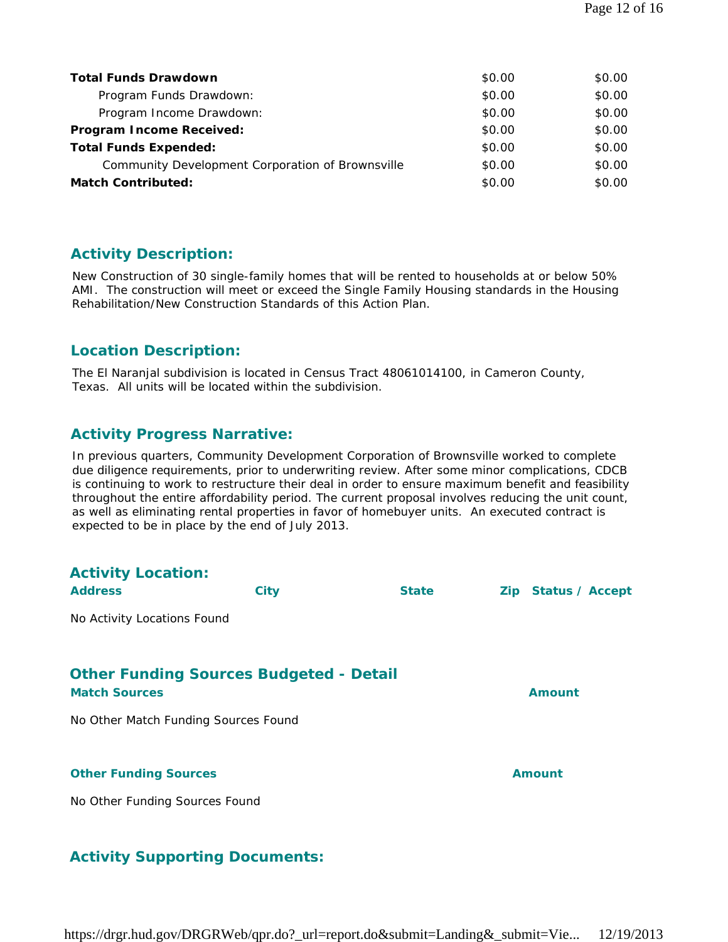| <b>Total Funds Drawdown</b>                      | \$0.00 | \$0.00 |
|--------------------------------------------------|--------|--------|
| Program Funds Drawdown:                          | \$0.00 | \$0.00 |
| Program Income Drawdown:                         | \$0.00 | \$0.00 |
| Program Income Received:                         | \$0.00 | \$0.00 |
| <b>Total Funds Expended:</b>                     | \$0.00 | \$0.00 |
| Community Development Corporation of Brownsville | \$0.00 | \$0.00 |
| <b>Match Contributed:</b>                        | \$0.00 | \$0.00 |

# **Activity Description:**

New Construction of 30 single-family homes that will be rented to households at or below 50% AMI. The construction will meet or exceed the Single Family Housing standards in the Housing Rehabilitation/New Construction Standards of this Action Plan.

# **Location Description:**

The El Naranjal subdivision is located in Census Tract 48061014100, in Cameron County, Texas. All units will be located within the subdivision.

# **Activity Progress Narrative:**

In previous quarters, Community Development Corporation of Brownsville worked to complete due diligence requirements, prior to underwriting review. After some minor complications, CDCB is continuing to work to restructure their deal in order to ensure maximum benefit and feasibility throughout the entire affordability period. The current proposal involves reducing the unit count, as well as eliminating rental properties in favor of homebuyer units. An executed contract is expected to be in place by the end of July 2013.

| <b>Activity Location:</b>                                              |             |              |                     |
|------------------------------------------------------------------------|-------------|--------------|---------------------|
| <b>Address</b>                                                         | <b>City</b> | <b>State</b> | Zip Status / Accept |
| No Activity Locations Found                                            |             |              |                     |
| <b>Other Funding Sources Budgeted - Detail</b><br><b>Match Sources</b> |             |              | <b>Amount</b>       |
| No Other Match Funding Sources Found                                   |             |              |                     |
| <b>Other Funding Sources</b>                                           |             |              | Amount              |
| No Other Funding Sources Found                                         |             |              |                     |

# **Activity Supporting Documents:**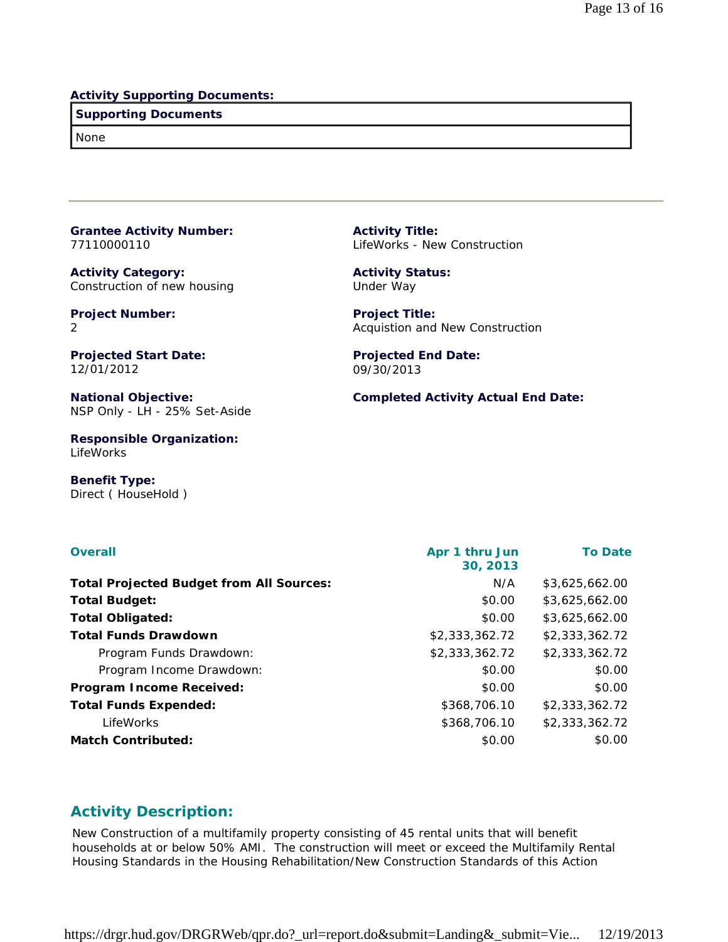#### **Activity Supporting Documents:**

#### **Supporting Documents**

None

**Grantee Activity Number:** 77110000110

**Activity Category:** Construction of new housing

**Project Number:** 2

**Projected Start Date:** 12/01/2012

**National Objective:** NSP Only - LH - 25% Set-Aside

**Responsible Organization:** LifeWorks

**Benefit Type:**  Direct ( HouseHold ) **Activity Title:** LifeWorks - New Construction

**Activity Status:** Under Way

**Project Title:** Acquistion and New Construction

**Projected End Date:** 09/30/2013

**Completed Activity Actual End Date:**

| <b>Overall</b>                                  | Apr 1 thru Jun<br>30, 2013 | <b>To Date</b> |
|-------------------------------------------------|----------------------------|----------------|
| <b>Total Projected Budget from All Sources:</b> | N/A                        | \$3,625,662.00 |
| <b>Total Budget:</b>                            | \$0.00                     | \$3,625,662.00 |
| <b>Total Obligated:</b>                         | \$0.00                     | \$3,625,662.00 |
| <b>Total Funds Drawdown</b>                     | \$2,333,362.72             | \$2,333,362.72 |
| Program Funds Drawdown:                         | \$2,333,362.72             | \$2,333,362.72 |
| Program Income Drawdown:                        | \$0.00                     | \$0.00         |
| <b>Program Income Received:</b>                 | \$0.00                     | \$0.00         |
| <b>Total Funds Expended:</b>                    | \$368,706.10               | \$2,333,362.72 |
| LifeWorks                                       | \$368,706.10               | \$2,333,362.72 |
| <b>Match Contributed:</b>                       | \$0.00                     | \$0.00         |

### **Activity Description:**

New Construction of a multifamily property consisting of 45 rental units that will benefit households at or below 50% AMI. The construction will meet or exceed the Multifamily Rental Housing Standards in the Housing Rehabilitation/New Construction Standards of this Action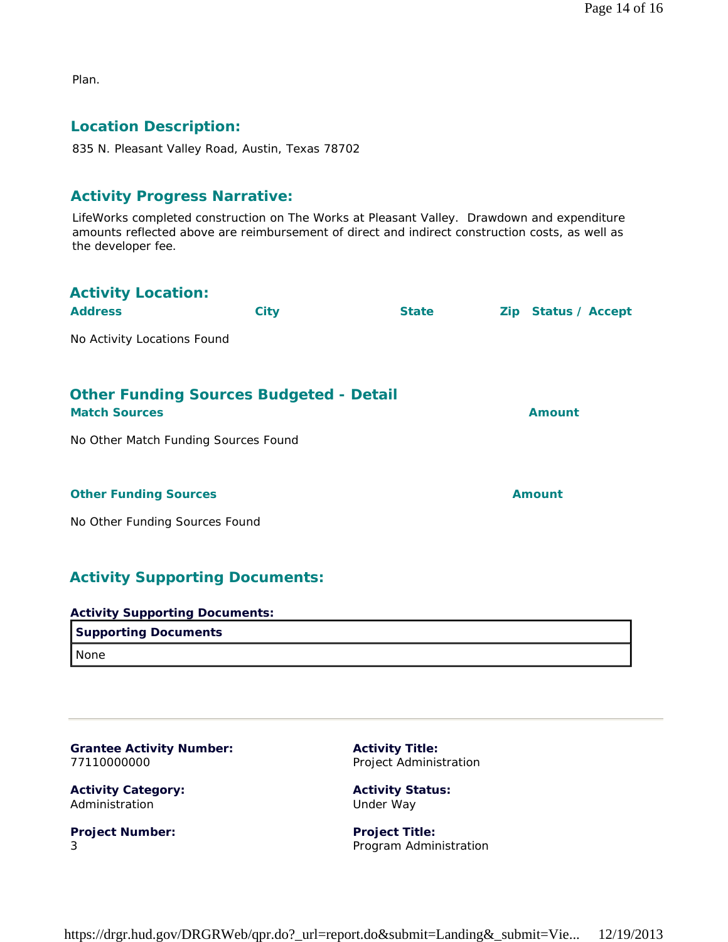Plan.

# **Location Description:**

835 N. Pleasant Valley Road, Austin, Texas 78702

### **Activity Progress Narrative:**

LifeWorks completed construction on The Works at Pleasant Valley. Drawdown and expenditure amounts reflected above are reimbursement of direct and indirect construction costs, as well as the developer fee.

| <b>Activity Location:</b><br><b>Address</b>                                                                    | <b>City</b> | <b>State</b> | Zip Status / Accept |
|----------------------------------------------------------------------------------------------------------------|-------------|--------------|---------------------|
| No Activity Locations Found                                                                                    |             |              |                     |
| <b>Other Funding Sources Budgeted - Detail</b><br><b>Match Sources</b><br>No Other Match Funding Sources Found |             |              | Amount              |
| <b>Other Funding Sources</b><br>No Other Funding Sources Found                                                 |             |              | <b>Amount</b>       |
|                                                                                                                |             |              |                     |

# **Activity Supporting Documents:**

| <b>Activity Supporting Documents:</b> |
|---------------------------------------|
| <b>Supporting Documents</b>           |
| I None                                |

| <b>Grantee Activity Number:</b> | A٥   |
|---------------------------------|------|
| 77110000000                     | Pr   |
| <b>Activity Category:</b>       | A٥   |
| Administration                  | l Ir |

**Project Number:** 3

**Activity Title:** oject Administration

**Activity Status:** Under Way

**Project Title:** Program Administration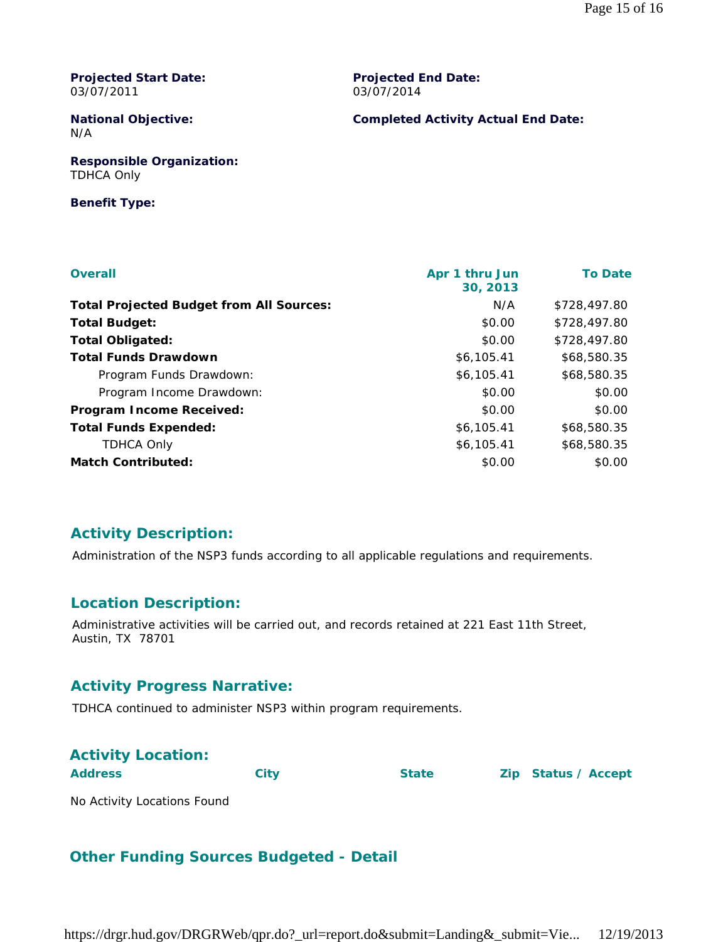**Projected Start Date:** 03/07/2011

**Projected End Date:** 03/07/2014

#### **National Objective:** N/A

**Completed Activity Actual End Date:**

**Responsible Organization:** TDHCA Only

#### **Benefit Type:**

| <b>Overall</b>                                  | Apr 1 thru Jun<br>30, 2013 | <b>To Date</b> |
|-------------------------------------------------|----------------------------|----------------|
| <b>Total Projected Budget from All Sources:</b> | N/A                        | \$728,497.80   |
| <b>Total Budget:</b>                            | \$0.00                     | \$728,497.80   |
| <b>Total Obligated:</b>                         | \$0.00                     | \$728,497.80   |
| <b>Total Funds Drawdown</b>                     | \$6,105.41                 | \$68,580.35    |
| Program Funds Drawdown:                         | \$6,105.41                 | \$68,580.35    |
| Program Income Drawdown:                        | \$0.00                     | \$0.00         |
| <b>Program Income Received:</b>                 | \$0.00                     | \$0.00         |
| <b>Total Funds Expended:</b>                    | \$6,105.41                 | \$68,580.35    |
| <b>TDHCA Only</b>                               | \$6,105.41                 | \$68,580.35    |
| <b>Match Contributed:</b>                       | \$0.00                     | \$0.00         |

# **Activity Description:**

Administration of the NSP3 funds according to all applicable regulations and requirements.

# **Location Description:**

Administrative activities will be carried out, and records retained at 221 East 11th Street, Austin, TX 78701

### **Activity Progress Narrative:**

TDHCA continued to administer NSP3 within program requirements.

| <b>Activity Location:</b> |      |              |                     |
|---------------------------|------|--------------|---------------------|
| <b>Address</b>            | City | <b>State</b> | Zip Status / Accept |

No Activity Locations Found

# **Other Funding Sources Budgeted - Detail**

https://drgr.hud.gov/DRGRWeb/qpr.do?\_url=report.do&submit=Landing&\_submit=Vie... 12/19/2013